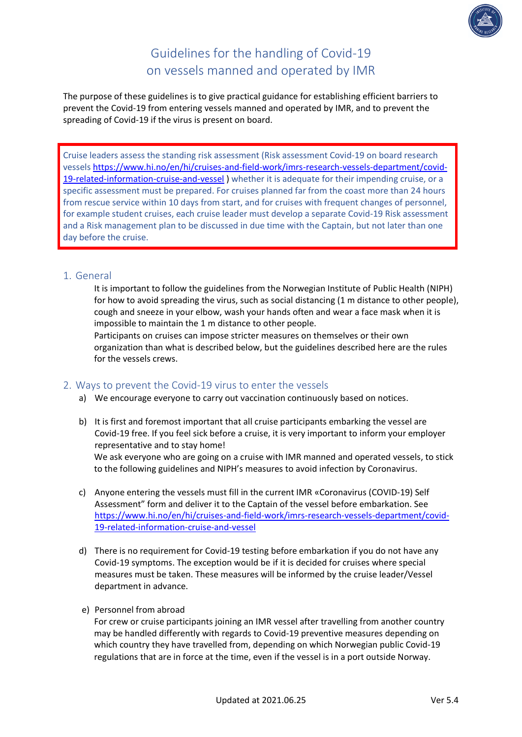

# Guidelines for the handling of Covid-19 on vessels manned and operated by IMR

The purpose of these guidelines is to give practical guidance for establishing efficient barriers to prevent the Covid-19 from entering vessels manned and operated by IMR, and to prevent the spreading of Covid-19 if the virus is present on board.

Cruise leaders assess the standing risk assessment (Risk assessment Covid-19 on board research vessels [https://www.hi.no/en/hi/cruises-and-field-work/imrs-research-vessels-department/covid-](https://www.hi.no/en/hi/cruises-and-field-work/imrs-research-vessels-department/covid-19-related-information-cruise-and-vessel)[19-related-information-cruise-and-vessel](https://www.hi.no/en/hi/cruises-and-field-work/imrs-research-vessels-department/covid-19-related-information-cruise-and-vessel) ) whether it is adequate for their impending cruise, or a specific assessment must be prepared. For cruises planned far from the coast more than 24 hours from rescue service within 10 days from start, and for cruises with frequent changes of personnel, for example student cruises, each cruise leader must develop a separate Covid-19 Risk assessment and a Risk management plan to be discussed in due time with the Captain, but not later than one day before the cruise.

## 1. General

It is important to follow the guidelines from the Norwegian Institute of Public Health (NIPH) for how to avoid spreading the virus, such as social distancing (1 m distance to other people), cough and sneeze in your elbow, wash your hands often and wear a face mask when it is impossible to maintain the 1 m distance to other people.

Participants on cruises can impose stricter measures on themselves or their own organization than what is described below, but the guidelines described here are the rules for the vessels crews.

## 2. Ways to prevent the Covid-19 virus to enter the vessels

- a) We encourage everyone to carry out vaccination continuously based on notices.
- b) It is first and foremost important that all cruise participants embarking the vessel are Covid-19 free. If you feel sick before a cruise, it is very important to inform your employer representative and to stay home! We ask everyone who are going on a cruise with IMR manned and operated vessels, to stick to the following guidelines and NIPH's measures to avoid infection by Coronavirus.
- c) Anyone entering the vessels must fill in the current IMR «Coronavirus (COVID-19) Self Assessment" form and deliver it to the Captain of the vessel before embarkation. See [https://www.hi.no/en/hi/cruises-and-field-work/imrs-research-vessels-department/covid-](https://www.hi.no/en/hi/cruises-and-field-work/imrs-research-vessels-department/covid-19-related-information-cruise-and-vessel)[19-related-information-cruise-and-vessel](https://www.hi.no/en/hi/cruises-and-field-work/imrs-research-vessels-department/covid-19-related-information-cruise-and-vessel)
- d) There is no requirement for Covid-19 testing before embarkation if you do not have any Covid-19 symptoms. The exception would be if it is decided for cruises where special measures must be taken. These measures will be informed by the cruise leader/Vessel department in advance.
- e) Personnel from abroad

For crew or cruise participants joining an IMR vessel after travelling from another country may be handled differently with regards to Covid-19 preventive measures depending on which country they have travelled from, depending on which Norwegian public Covid-19 regulations that are in force at the time, even if the vessel is in a port outside Norway.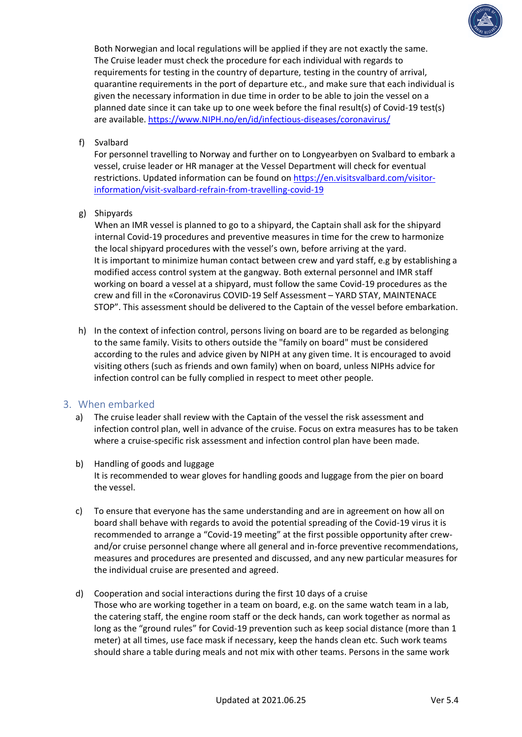

Both Norwegian and local regulations will be applied if they are not exactly the same. The Cruise leader must check the procedure for each individual with regards to requirements for testing in the country of departure, testing in the country of arrival, quarantine requirements in the port of departure etc., and make sure that each individual is given the necessary information in due time in order to be able to join the vessel on a planned date since it can take up to one week before the final result(s) of Covid-19 test(s) are available. [https://www.NIPH.no/en/id/infectious-diseases/coronavirus/](https://www.fhi.no/en/id/infectious-diseases/coronavirus/)

## f) Svalbard

For personnel travelling to Norway and further on to Longyearbyen on Svalbard to embark a vessel, cruise leader or HR manager at the Vessel Department will check for eventual restrictions. Updated information can be found on [https://en.visitsvalbard.com/visitor](https://en.visitsvalbard.com/visitor-information/visit-svalbard-refrain-from-travelling-covid-19)[information/visit-svalbard-refrain-from-travelling-covid-19](https://en.visitsvalbard.com/visitor-information/visit-svalbard-refrain-from-travelling-covid-19)

## g) Shipyards

When an IMR vessel is planned to go to a shipyard, the Captain shall ask for the shipyard internal Covid-19 procedures and preventive measures in time for the crew to harmonize the local shipyard procedures with the vessel's own, before arriving at the yard. It is important to minimize human contact between crew and yard staff, e.g by establishing a modified access control system at the gangway. Both external personnel and IMR staff working on board a vessel at a shipyard, must follow the same Covid-19 procedures as the crew and fill in the «Coronavirus COVID-19 Self Assessment – YARD STAY, MAINTENACE STOP". This assessment should be delivered to the Captain of the vessel before embarkation.

h) In the context of infection control, persons living on board are to be regarded as belonging to the same family. Visits to others outside the "family on board" must be considered according to the rules and advice given by NIPH at any given time. It is encouraged to avoid visiting others (such as friends and own family) when on board, unless NIPHs advice for infection control can be fully complied in respect to meet other people.

# 3. When embarked

- a) The cruise leader shall review with the Captain of the vessel the risk assessment and infection control plan, well in advance of the cruise. Focus on extra measures has to be taken where a cruise-specific risk assessment and infection control plan have been made.
- b) Handling of goods and luggage It is recommended to wear gloves for handling goods and luggage from the pier on board the vessel.
- c) To ensure that everyone has the same understanding and are in agreement on how all on board shall behave with regards to avoid the potential spreading of the Covid-19 virus it is recommended to arrange a "Covid-19 meeting" at the first possible opportunity after crewand/or cruise personnel change where all general and in-force preventive recommendations, measures and procedures are presented and discussed, and any new particular measures for the individual cruise are presented and agreed.
- d) Cooperation and social interactions during the first 10 days of a cruise Those who are working together in a team on board, e.g. on the same watch team in a lab, the catering staff, the engine room staff or the deck hands, can work together as normal as long as the "ground rules" for Covid-19 prevention such as keep social distance (more than 1 meter) at all times, use face mask if necessary, keep the hands clean etc. Such work teams should share a table during meals and not mix with other teams. Persons in the same work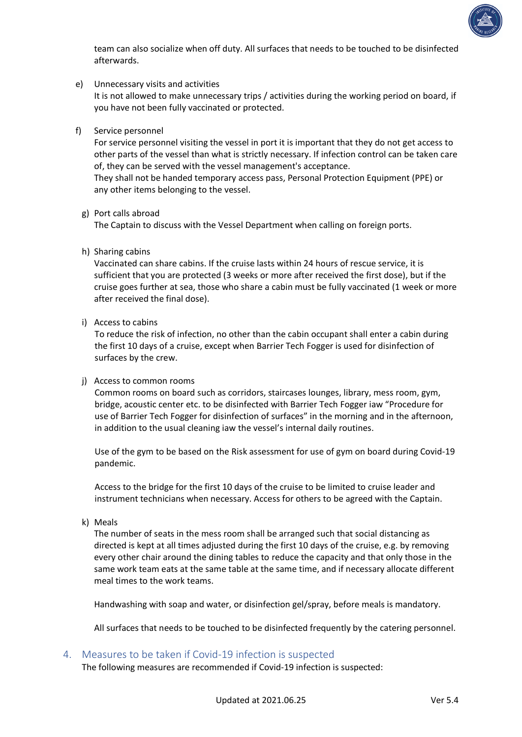

team can also socialize when off duty. All surfaces that needs to be touched to be disinfected afterwards.

- e) Unnecessary visits and activities It is not allowed to make unnecessary trips / activities during the working period on board, if you have not been fully vaccinated or protected.
- f) Service personnel

For service personnel visiting the vessel in port it is important that they do not get access to other parts of the vessel than what is strictly necessary. If infection control can be taken care of, they can be served with the vessel management's acceptance.

They shall not be handed temporary access pass, Personal Protection Equipment (PPE) or any other items belonging to the vessel.

g) Port calls abroad

The Captain to discuss with the Vessel Department when calling on foreign ports.

h) Sharing cabins

Vaccinated can share cabins. If the cruise lasts within 24 hours of rescue service, it is sufficient that you are protected (3 weeks or more after received the first dose), but if the cruise goes further at sea, those who share a cabin must be fully vaccinated (1 week or more after received the final dose).

i) Access to cabins

To reduce the risk of infection, no other than the cabin occupant shall enter a cabin during the first 10 days of a cruise, except when Barrier Tech Fogger is used for disinfection of surfaces by the crew.

#### j) Access to common rooms

Common rooms on board such as corridors, staircases lounges, library, mess room, gym, bridge, acoustic center etc. to be disinfected with Barrier Tech Fogger iaw "Procedure for use of Barrier Tech Fogger for disinfection of surfaces" in the morning and in the afternoon, in addition to the usual cleaning iaw the vessel's internal daily routines.

Use of the gym to be based on the Risk assessment for use of gym on board during Covid-19 pandemic.

Access to the bridge for the first 10 days of the cruise to be limited to cruise leader and instrument technicians when necessary. Access for others to be agreed with the Captain.

k) Meals

The number of seats in the mess room shall be arranged such that social distancing as directed is kept at all times adjusted during the first 10 days of the cruise, e.g. by removing every other chair around the dining tables to reduce the capacity and that only those in the same work team eats at the same table at the same time, and if necessary allocate different meal times to the work teams.

Handwashing with soap and water, or disinfection gel/spray, before meals is mandatory.

All surfaces that needs to be touched to be disinfected frequently by the catering personnel.

4. Measures to be taken if Covid-19 infection is suspected

The following measures are recommended if Covid-19 infection is suspected: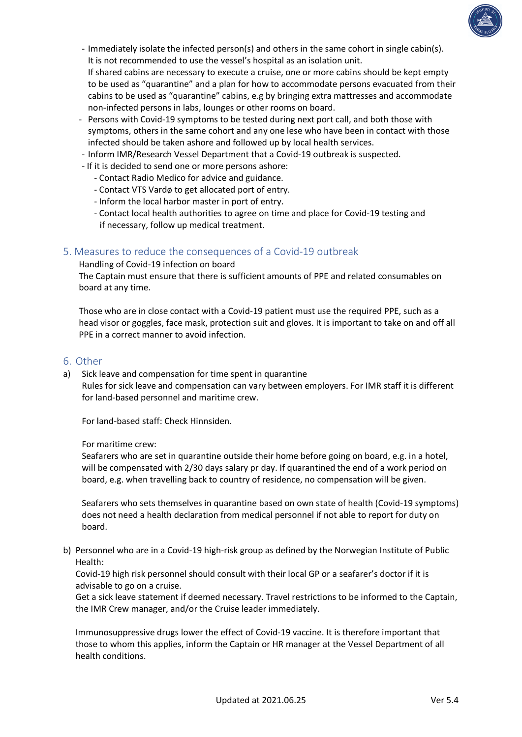

- Immediately isolate the infected person(s) and others in the same cohort in single cabin(s). It is not recommended to use the vessel's hospital as an isolation unit.

If shared cabins are necessary to execute a cruise, one or more cabins should be kept empty to be used as "quarantine" and a plan for how to accommodate persons evacuated from their cabins to be used as "quarantine" cabins, e.g by bringing extra mattresses and accommodate non-infected persons in labs, lounges or other rooms on board.

- Persons with Covid-19 symptoms to be tested during next port call, and both those with symptoms, others in the same cohort and any one lese who have been in contact with those infected should be taken ashore and followed up by local health services.
- Inform IMR/Research Vessel Department that a Covid-19 outbreak is suspected.
- If it is decided to send one or more persons ashore:
	- Contact Radio Medico for advice and guidance.
	- Contact VTS Vardø to get allocated port of entry.
	- Inform the local harbor master in port of entry.
	- Contact local health authorities to agree on time and place for Covid-19 testing and if necessary, follow up medical treatment.

## 5. Measures to reduce the consequences of a Covid-19 outbreak

Handling of Covid-19 infection on board

The Captain must ensure that there is sufficient amounts of PPE and related consumables on board at any time.

Those who are in close contact with a Covid-19 patient must use the required PPE, such as a head visor or goggles, face mask, protection suit and gloves. It is important to take on and off all PPE in a correct manner to avoid infection.

### 6. Other

a) Sick leave and compensation for time spent in quarantine Rules for sick leave and compensation can vary between employers. For IMR staff it is different for land-based personnel and maritime crew.

For land-based staff: Check Hinnsiden.

#### For maritime crew:

Seafarers who are set in quarantine outside their home before going on board, e.g. in a hotel, will be compensated with 2/30 days salary pr day. If quarantined the end of a work period on board, e.g. when travelling back to country of residence, no compensation will be given.

Seafarers who sets themselves in quarantine based on own state of health (Covid-19 symptoms) does not need a health declaration from medical personnel if not able to report for duty on board.

b) Personnel who are in a Covid-19 high-risk group as defined by the Norwegian Institute of Public Health:

Covid-19 high risk personnel should consult with their local GP or a seafarer's doctor if it is advisable to go on a cruise.

Get a sick leave statement if deemed necessary. Travel restrictions to be informed to the Captain, the IMR Crew manager, and/or the Cruise leader immediately.

Immunosuppressive drugs lower the effect of Covid-19 vaccine. It is therefore important that those to whom this applies, inform the Captain or HR manager at the Vessel Department of all health conditions.